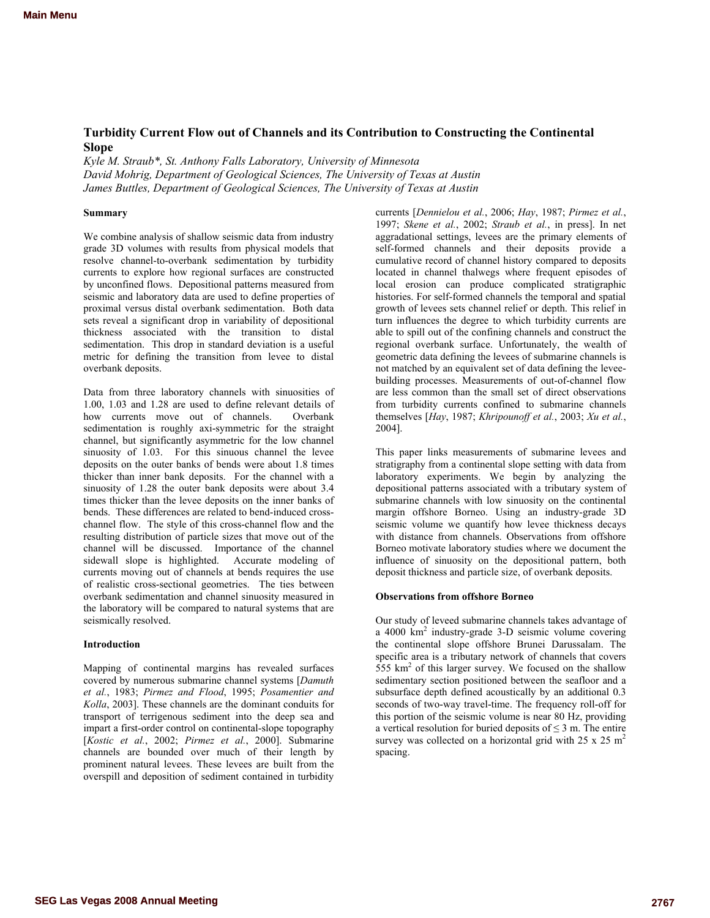# <span id="page-0-0"></span>**Turbidity Current Flow out of Channels and its Contribution to Constructing the Continental Slope**

*Kyle M. Straub\*, St. Anthony Falls Laboratory, University of Minnesota David Mohrig, Department of Geological Sciences, The University of Texas at Austin James Buttles, Department of Geological Sciences, The University of Texas at Austin* 

### **Summary**

We combine analysis of shallow seismic data from industry grade 3D volumes with results from physical models that resolve channel-to-overbank sedimentation by turbidity currents to explore how regional surfaces are constructed by unconfined flows. Depositional patterns measured from seismic and laboratory data are used to define properties of proximal versus distal overbank sedimentation. Both data sets reveal a significant drop in variability of depositional thickness associated with the transition to distal sedimentation. This drop in standard deviation is a useful metric for defining the transition from levee to distal overbank deposits.

Data from three laboratory channels with sinuosities of 1.00, 1.03 and 1.28 are used to define relevant details of how currents move out of channels. Overbank sedimentation is roughly axi-symmetric for the straight channel, but significantly asymmetric for the low channel sinuosity of 1.03. For this sinuous channel the levee deposits on the outer banks of bends were about 1.8 times thicker than inner bank deposits. For the channel with a sinuosity of 1.28 the outer bank deposits were about 3.4 times thicker than the levee deposits on the inner banks of bends. These differences are related to bend-induced crosschannel flow. The style of this cross-channel flow and the resulting distribution of particle sizes that move out of the channel will be discussed. Importance of the channel sidewall slope is highlighted. Accurate modeling of currents moving out of channels at bends requires the use of realistic cross-sectional geometries. The ties between overbank sedimentation and channel sinuosity measured in the laboratory will be compared to natural systems that are seismically resolved.

#### **Introduction**

Mapping of continental margins has revealed surfaces covered by numerous submarine channel systems [*Damuth et al.*, 1983; *Pirmez and Flood*, 1995; *Posamentier and Kolla*, 2003]. These channels are the dominant conduits for transport of terrigenous sediment into the deep sea and impart a first-order control on continental-slope topography [*Kostic et al.*, 2002; *Pirmez et al.*, 2000]. Submarine channels are bounded over much of their length by prominent natural levees. These levees are built from the overspill and deposition of sediment contained in turbidity currents [*Dennielou et al.*, 2006; *Hay*, 1987; *Pirmez et al.*, 1997; *Skene et al.*, 2002; *Straub et al.*, in press]. In net aggradational settings, levees are the primary elements of self-formed channels and their deposits provide a cumulative record of channel history compared to deposits located in channel thalwegs where frequent episodes of local erosion can produce complicated stratigraphic histories. For self-formed channels the temporal and spatial growth of levees sets channel relief or depth. This relief in turn influences the degree to which turbidity currents are able to spill out of the confining channels and construct the regional overbank surface. Unfortunately, the wealth of geometric data defining the levees of submarine channels is not matched by an equivalent set of data defining the leveebuilding processes. Measurements of out-of-channel flow are less common than the small set of direct observations from turbidity currents confined to submarine channels themselves [*Hay*, 1987; *Khripounoff et al.*, 2003; *Xu et al.*, 2004].

This paper links measurements of submarine levees and stratigraphy from a continental slope setting with data from laboratory experiments. We begin by analyzing the depositional patterns associated with a tributary system of submarine channels with low sinuosity on the continental margin offshore Borneo. Using an industry-grade 3D seismic volume we quantify how levee thickness decays with distance from channels. Observations from offshore Borneo motivate laboratory studies where we document the influence of sinuosity on the depositional pattern, both deposit thickness and particle size, of overbank deposits.

#### **Observations from offshore Borneo**

Our study of leveed submarine channels takes advantage of a  $4000 \text{ km}^2$  industry-grade 3-D seismic volume covering the continental slope offshore Brunei Darussalam. The specific area is a tributary network of channels that covers  $555 \text{ km}^2$  of this larger survey. We focused on the shallow sedimentary section positioned between the seafloor and a subsurface depth defined acoustically by an additional 0.3 seconds of two-way travel-time. The frequency roll-off for this portion of the seismic volume is near 80 Hz, providing a vertical resolution for buried deposits of  $\leq$  3 m. The entire survey was collected on a horizontal grid with  $25 \times 25$  m<sup>2</sup> spacing.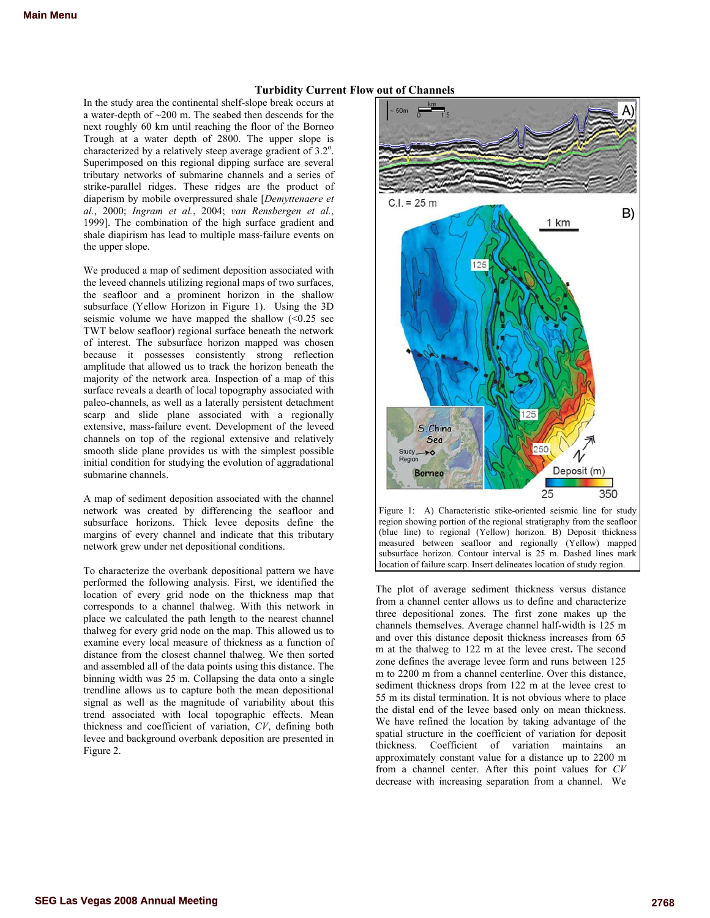# **Turbidity Current Flow out of Channels**

In the study area the continental shelf-slope break occurs at a water-depth of ~200 m. The seabed then descends for the next roughly 60 km until reaching the floor of the Borneo Trough at a water depth of 2800. The upper slope is characterized by a relatively steep average gradient of  $3.2^\circ$ . Superimposed on this regional dipping surface are several tributary networks of submarine channels and a series of strike-parallel ridges. These ridges are the product of diaperism by mobile overpressured shale [*Demyttenaere et al.*, 2000; *Ingram et al.*, 2004; *van Rensbergen et al.*, 1999]. The combination of the high surface gradient and shale diapirism has lead to multiple mass-failure events on the upper slope.

We produced a map of sediment deposition associated with the leveed channels utilizing regional maps of two surfaces, the seafloor and a prominent horizon in the shallow subsurface (Yellow Horizon in Figure 1). Using the 3D seismic volume we have mapped the shallow  $\leq 0.25$  sec TWT below seafloor) regional surface beneath the network of interest. The subsurface horizon mapped was chosen because it possesses consistently strong reflection amplitude that allowed us to track the horizon beneath the majority of the network area. Inspection of a map of this surface reveals a dearth of local topography associated with paleo-channels, as well as a laterally persistent detachment scarp and slide plane associated with a regionally extensive, mass-failure event. Development of the leveed channels on top of the regional extensive and relatively smooth slide plane provides us with the simplest possible initial condition for studying the evolution of aggradational submarine channels.

A map of sediment deposition associated with the channel network was created by differencing the seafloor and subsurface horizons. Thick levee deposits define the margins of every channel and indicate that this tributary network grew under net depositional conditions.

To characterize the overbank depositional pattern we have performed the following analysis. First, we identified the location of every grid node on the thickness map that corresponds to a channel thalweg. With this network in place we calculated the path length to the nearest channel thalweg for every grid node on the map. This allowed us to examine every local measure of thickness as a function of distance from the closest channel thalweg. We then sorted and assembled all of the data points using this distance. The binning width was 25 m. Collapsing the data onto a single trendline allows us to capture both the mean depositional signal as well as the magnitude of variability about this trend associated with local topographic effects. Mean thickness and coefficient of variation, *CV*, defining both levee and background overbank deposition are presented in Figure 2.



Figure 1: A) Characteristic stike-oriented seismic line for study region showing portion of the regional stratigraphy from the seafloor (blue line) to regional (Yellow) horizon. B) Deposit thickness measured between seafloor and regionally (Yellow) mapped subsurface horizon. Contour interval is 25 m. Dashed lines mark location of failure scarp. Insert delineates location of study region.

The plot of average sediment thickness versus distance from a channel center allows us to define and characterize three depositional zones. The first zone makes up the channels themselves. Average channel half-width is 125 m and over this distance deposit thickness increases from 65 m at the thalweg to 122 m at the levee crest**.** The second zone defines the average levee form and runs between 125 m to 2200 m from a channel centerline. Over this distance, sediment thickness drops from 122 m at the levee crest to 55 m its distal termination. It is not obvious where to place the distal end of the levee based only on mean thickness. We have refined the location by taking advantage of the spatial structure in the coefficient of variation for deposit thickness. Coefficient of variation maintains an approximately constant value for a distance up to 2200 m from a channel center. After this point values for *CV* decrease with increasing separation from a channel. We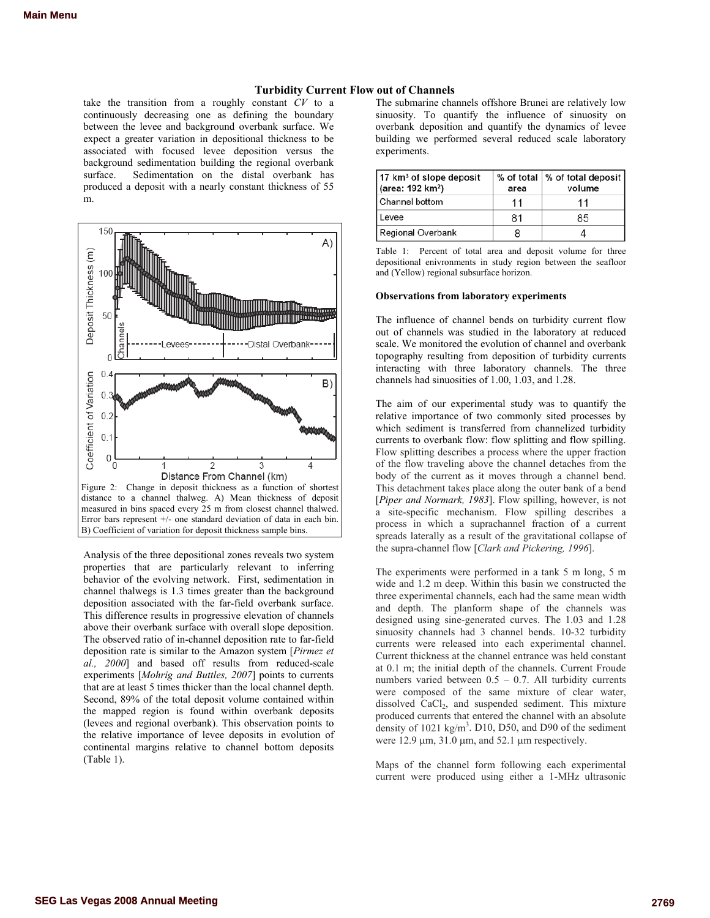# **Turbidity Current Flow out of Channels**

take the transition from a roughly constant *CV* to a continuously decreasing one as defining the boundary between the levee and background overbank surface. We expect a greater variation in depositional thickness to be associated with focused levee deposition versus the background sedimentation building the regional overbank surface. Sedimentation on the distal overbank has produced a deposit with a nearly constant thickness of 55 m.



Analysis of the three depositional zones reveals two system properties that are particularly relevant to inferring behavior of the evolving network. First, sedimentation in channel thalwegs is 1.3 times greater than the background deposition associated with the far-field overbank surface. This difference results in progressive elevation of channels above their overbank surface with overall slope deposition. The observed ratio of in-channel deposition rate to far-field deposition rate is similar to the Amazon system [*Pirmez et al., 2000*] and based off results from reduced-scale experiments [*Mohrig and Buttles, 2007*] points to currents that are at least 5 times thicker than the local channel depth. Second, 89% of the total deposit volume contained within the mapped region is found within overbank deposits (levees and regional overbank). This observation points to the relative importance of levee deposits in evolution of continental margins relative to channel bottom deposits (Table 1).

The submarine channels offshore Brunei are relatively low sinuosity. To quantify the influence of sinuosity on overbank deposition and quantify the dynamics of levee building we performed several reduced scale laboratory experiments.

| $17 \mathrm{km}^3$ of slope deposit<br>(area: 192 km <sup>2</sup> ) | area | % of total   % of total deposit  <br>volume |
|---------------------------------------------------------------------|------|---------------------------------------------|
| Channel bottom                                                      | 11   | 11                                          |
| Levee                                                               | 81   | 85                                          |
| Regional Overbank                                                   | ×    |                                             |

Table 1: Percent of total area and deposit volume for three depositional enivronments in study region between the seafloor and (Yellow) regional subsurface horizon.

#### **Observations from laboratory experiments**

The influence of channel bends on turbidity current flow out of channels was studied in the laboratory at reduced scale. We monitored the evolution of channel and overbank topography resulting from deposition of turbidity currents interacting with three laboratory channels. The three channels had sinuosities of 1.00, 1.03, and 1.28.

The aim of our experimental study was to quantify the relative importance of two commonly sited processes by which sediment is transferred from channelized turbidity currents to overbank flow: flow splitting and flow spilling. Flow splitting describes a process where the upper fraction of the flow traveling above the channel detaches from the body of the current as it moves through a channel bend. This detachment takes place along the outer bank of a bend [*Piper and Normark, 1983*]. Flow spilling, however, is not a site-specific mechanism. Flow spilling describes a process in which a suprachannel fraction of a current spreads laterally as a result of the gravitational collapse of the supra-channel flow [*Clark and Pickering, 1996*].

The experiments were performed in a tank 5 m long, 5 m wide and 1.2 m deep. Within this basin we constructed the three experimental channels, each had the same mean width and depth. The planform shape of the channels was designed using sine-generated curves. The 1.03 and 1.28 sinuosity channels had 3 channel bends. 10-32 turbidity currents were released into each experimental channel. Current thickness at the channel entrance was held constant at 0.1 m; the initial depth of the channels. Current Froude numbers varied between  $0.5 - 0.7$ . All turbidity currents were composed of the same mixture of clear water, dissolved CaCl<sub>2</sub>, and suspended sediment. This mixture produced currents that entered the channel with an absolute density of  $1021 \text{ kg/m}^3$ . D10, D50, and D90 of the sediment were  $12.9 \mu m$ ,  $31.0 \mu m$ , and  $52.1 \mu m$  respectively.

Maps of the channel form following each experimental current were produced using either a 1-MHz ultrasonic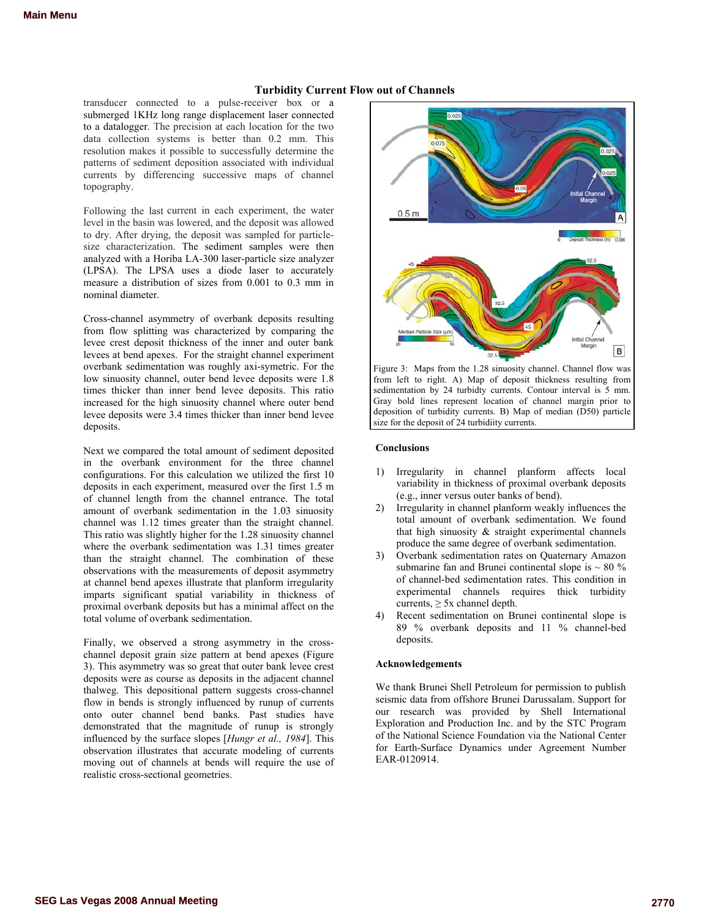# **Turbidity Current Flow out of Channels**

transducer connected to a pulse-receiver box or a submerged 1KHz long range displacement laser connected to a datalogger. The precision at each location for the two data collection systems is better than 0.2 mm. This resolution makes it possible to successfully determine the patterns of sediment deposition associated with individual currents by differencing successive maps of channel topography.

Following the last current in each experiment, the water level in the basin was lowered, and the deposit was allowed to dry. After drying, the deposit was sampled for particlesize characterization. The sediment samples were then analyzed with a Horiba LA-300 laser-particle size analyzer (LPSA). The LPSA uses a diode laser to accurately measure a distribution of sizes from 0.001 to 0.3 mm in nominal diameter.

Cross-channel asymmetry of overbank deposits resulting from flow splitting was characterized by comparing the levee crest deposit thickness of the inner and outer bank levees at bend apexes. For the straight channel experiment overbank sedimentation was roughly axi-symetric. For the low sinuosity channel, outer bend levee deposits were 1.8 times thicker than inner bend levee deposits. This ratio increased for the high sinuosity channel where outer bend levee deposits were 3.4 times thicker than inner bend levee deposits.

Next we compared the total amount of sediment deposited in the overbank environment for the three channel configurations. For this calculation we utilized the first 10 deposits in each experiment, measured over the first 1.5 m of channel length from the channel entrance. The total amount of overbank sedimentation in the 1.03 sinuosity channel was 1.12 times greater than the straight channel. This ratio was slightly higher for the 1.28 sinuosity channel where the overbank sedimentation was 1.31 times greater than the straight channel. The combination of these observations with the measurements of deposit asymmetry at channel bend apexes illustrate that planform irregularity imparts significant spatial variability in thickness of proximal overbank deposits but has a minimal affect on the total volume of overbank sedimentation.

Finally, we observed a strong asymmetry in the crosschannel deposit grain size pattern at bend apexes (Figure 3). This asymmetry was so great that outer bank levee crest deposits were as course as deposits in the adjacent channel thalweg. This depositional pattern suggests cross-channel flow in bends is strongly influenced by runup of currents onto outer channel bend banks. Past studies have demonstrated that the magnitude of runup is strongly influenced by the surface slopes [*Hungr et al., 1984*]. This observation illustrates that accurate modeling of currents moving out of channels at bends will require the use of realistic cross-sectional geometries.



Figure 3: Maps from the 1.28 sinuosity channel. Channel flow was from left to right. A) Map of deposit thickness resulting from sedimentation by 24 turbidty currents. Contour interval is 5 mm. Gray bold lines represent location of channel margin prior to deposition of turbidity currents. B) Map of median (D50) particle size for the deposit of 24 turbidiity currents.

## **Conclusions**

- 1) Irregularity in channel planform affects local variability in thickness of proximal overbank deposits (e.g., inner versus outer banks of bend).
- 2) Irregularity in channel planform weakly influences the total amount of overbank sedimentation. We found that high sinuosity & straight experimental channels produce the same degree of overbank sedimentation.
- 3) Overbank sedimentation rates on Quaternary Amazon submarine fan and Brunei continental slope is  $\sim 80 \%$ of channel-bed sedimentation rates. This condition in experimental channels requires thick turbidity currents,  $\geq$  5x channel depth.
- 4) Recent sedimentation on Brunei continental slope is 89 % overbank deposits and 11 % channel-bed deposits.

### **Acknowledgements**

We thank Brunei Shell Petroleum for permission to publish seismic data from offshore Brunei Darussalam. Support for our research was provided by Shell International Exploration and Production Inc. and by the STC Program of the National Science Foundation via the National Center for Earth-Surface Dynamics under Agreement Number EAR-0120914.